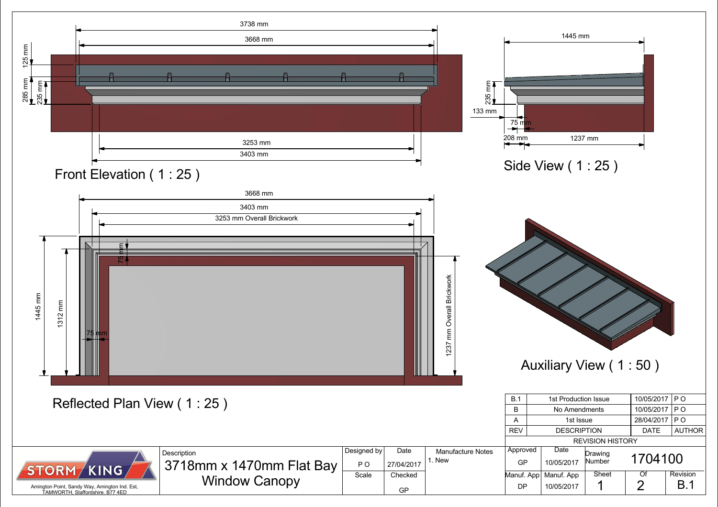